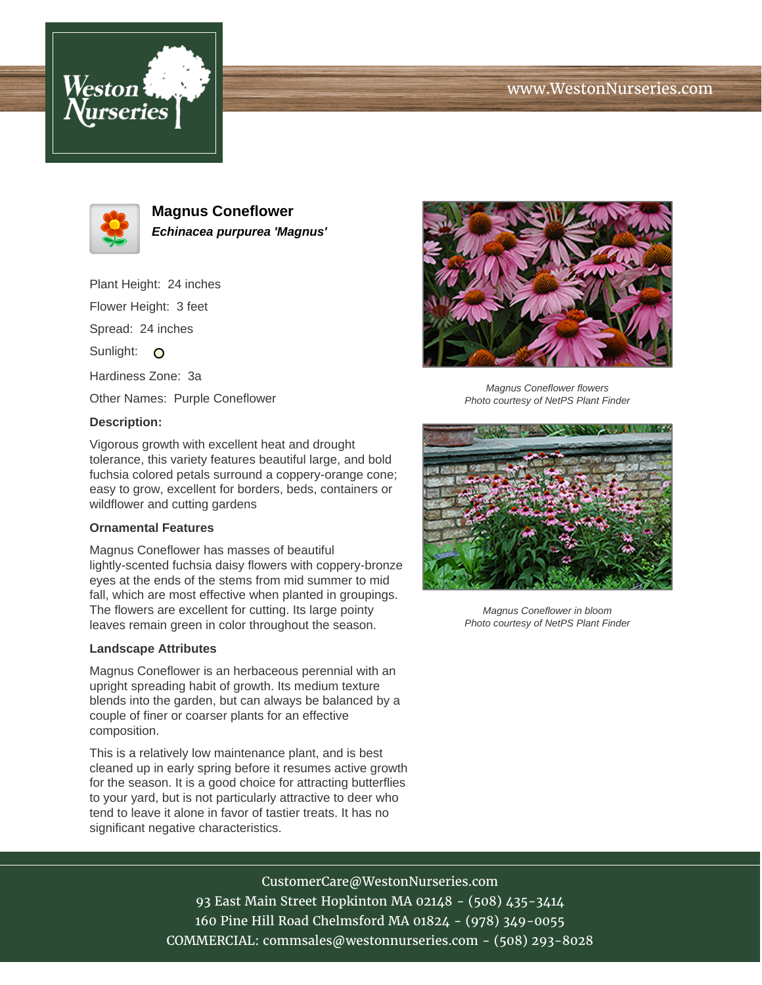# www.WestonNurseries.com





**Magnus Coneflower Echinacea purpurea 'Magnus'**

Plant Height: 24 inches Flower Height: 3 feet Spread: 24 inches Sunlight: O

Hardiness Zone: 3a

Other Names: Purple Coneflower

## **Description:**

Vigorous growth with excellent heat and drought tolerance, this variety features beautiful large, and bold fuchsia colored petals surround a coppery-orange cone; easy to grow, excellent for borders, beds, containers or wildflower and cutting gardens

### **Ornamental Features**

Magnus Coneflower has masses of beautiful lightly-scented fuchsia daisy flowers with coppery-bronze eyes at the ends of the stems from mid summer to mid fall, which are most effective when planted in groupings. The flowers are excellent for cutting. Its large pointy leaves remain green in color throughout the season.

#### **Landscape Attributes**

Magnus Coneflower is an herbaceous perennial with an upright spreading habit of growth. Its medium texture blends into the garden, but can always be balanced by a couple of finer or coarser plants for an effective composition.

This is a relatively low maintenance plant, and is best cleaned up in early spring before it resumes active growth for the season. It is a good choice for attracting butterflies to your yard, but is not particularly attractive to deer who tend to leave it alone in favor of tastier treats. It has no significant negative characteristics.



Magnus Coneflower flowers Photo courtesy of NetPS Plant Finder



Magnus Coneflower in bloom Photo courtesy of NetPS Plant Finder

CustomerCare@WestonNurseries.com 93 East Main Street Hopkinton MA 02148 - (508) 435-3414 160 Pine Hill Road Chelmsford MA 01824 - (978) 349-0055 COMMERCIAL: commsales@westonnurseries.com - (508) 293-8028